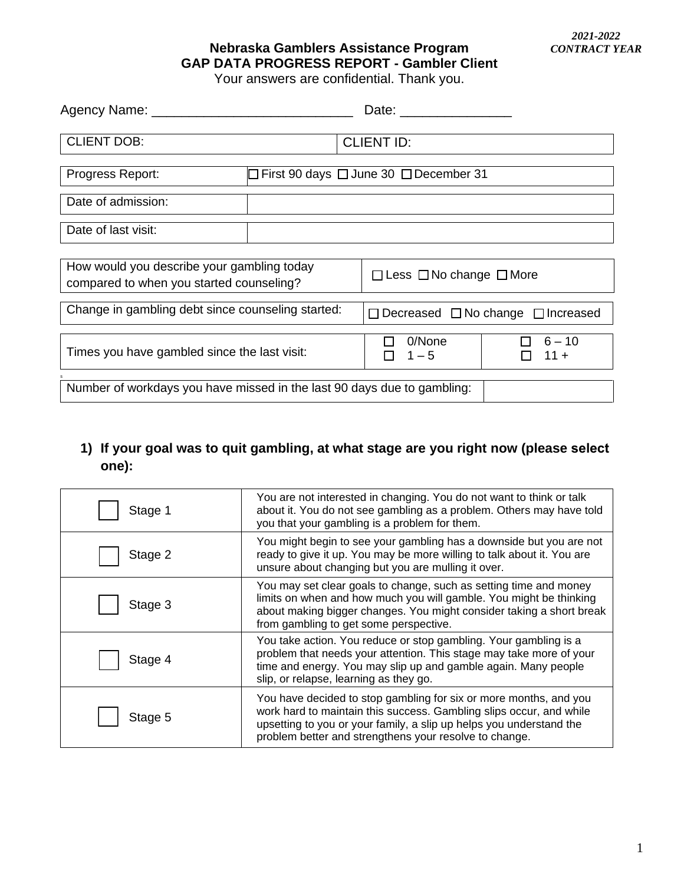### **Nebraska Gamblers Assistance Program GAP DATA PROGRESS REPORT - Gambler Client**

Your answers are confidential. Thank you.

| Agency Name: ________                                                                  |                                                        | Date: $\frac{1}{2}$                                |                    |  |
|----------------------------------------------------------------------------------------|--------------------------------------------------------|----------------------------------------------------|--------------------|--|
| <b>CLIENT DOB:</b>                                                                     |                                                        | <b>CLIENT ID:</b>                                  |                    |  |
| Progress Report:                                                                       | $\Box$ First 90 days $\Box$ June 30 $\Box$ December 31 |                                                    |                    |  |
| Date of admission:                                                                     |                                                        |                                                    |                    |  |
| Date of last visit:                                                                    |                                                        |                                                    |                    |  |
| How would you describe your gambling today<br>compared to when you started counseling? |                                                        | $\Box$ Less $\Box$ No change $\Box$ More           |                    |  |
| Change in gambling debt since counseling started:                                      |                                                        | $\Box$ Decreased $\Box$ No change $\Box$ Increased |                    |  |
| Times you have gambled since the last visit:                                           |                                                        | 0/None<br>$1 - 5$                                  | $6 - 10$<br>$11 +$ |  |
| Number of workdays you have missed in the last 90 days due to gambling:                |                                                        |                                                    |                    |  |

### **1) If your goal was to quit gambling, at what stage are you right now (please select one):**

| Stage 1 | You are not interested in changing. You do not want to think or talk<br>about it. You do not see gambling as a problem. Others may have told<br>you that your gambling is a problem for them.                                                                             |
|---------|---------------------------------------------------------------------------------------------------------------------------------------------------------------------------------------------------------------------------------------------------------------------------|
| Stage 2 | You might begin to see your gambling has a downside but you are not<br>ready to give it up. You may be more willing to talk about it. You are<br>unsure about changing but you are mulling it over.                                                                       |
| Stage 3 | You may set clear goals to change, such as setting time and money<br>limits on when and how much you will gamble. You might be thinking<br>about making bigger changes. You might consider taking a short break<br>from gambling to get some perspective.                 |
| Stage 4 | You take action. You reduce or stop gambling. Your gambling is a<br>problem that needs your attention. This stage may take more of your<br>time and energy. You may slip up and gamble again. Many people<br>slip, or relapse, learning as they go.                       |
| Stage 5 | You have decided to stop gambling for six or more months, and you<br>work hard to maintain this success. Gambling slips occur, and while<br>upsetting to you or your family, a slip up helps you understand the<br>problem better and strengthens your resolve to change. |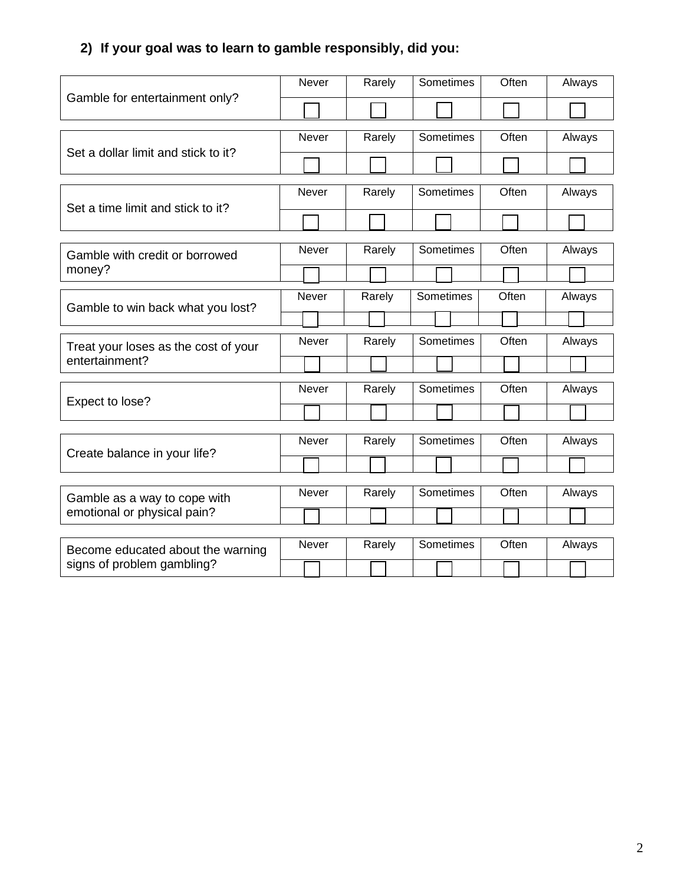## **2) If your goal was to learn to gamble responsibly, did you:**

|                                                                 | Never        | Rarely | Sometimes | Often | Always |
|-----------------------------------------------------------------|--------------|--------|-----------|-------|--------|
| Gamble for entertainment only?                                  |              |        |           |       |        |
|                                                                 |              |        |           |       |        |
| Set a dollar limit and stick to it?                             | Never        | Rarely | Sometimes | Often | Always |
|                                                                 |              |        |           |       |        |
| Set a time limit and stick to it?                               | <b>Never</b> | Rarely | Sometimes | Often | Always |
|                                                                 |              |        |           |       |        |
|                                                                 |              |        |           |       |        |
| Gamble with credit or borrowed<br>money?                        | Never        | Rarely | Sometimes | Often | Always |
|                                                                 |              |        |           |       |        |
|                                                                 |              |        |           |       |        |
| Gamble to win back what you lost?                               | <b>Never</b> | Rarely | Sometimes | Often | Always |
|                                                                 |              |        |           |       |        |
| Treat your loses as the cost of your                            | Never        | Rarely | Sometimes | Often | Always |
| entertainment?                                                  |              |        |           |       |        |
|                                                                 |              |        |           |       |        |
| Expect to lose?                                                 | Never        | Rarely | Sometimes | Often | Always |
|                                                                 |              |        |           |       |        |
|                                                                 |              |        |           |       |        |
| Create balance in your life?                                    | <b>Never</b> | Rarely | Sometimes | Often | Always |
|                                                                 |              |        |           |       |        |
|                                                                 |              |        |           |       |        |
| Gamble as a way to cope with<br>emotional or physical pain?     | Never        | Rarely | Sometimes | Often | Always |
|                                                                 |              |        |           |       |        |
|                                                                 |              |        |           |       |        |
| Become educated about the warning<br>signs of problem gambling? | Never        | Rarely | Sometimes | Often | Always |
|                                                                 |              |        |           |       |        |